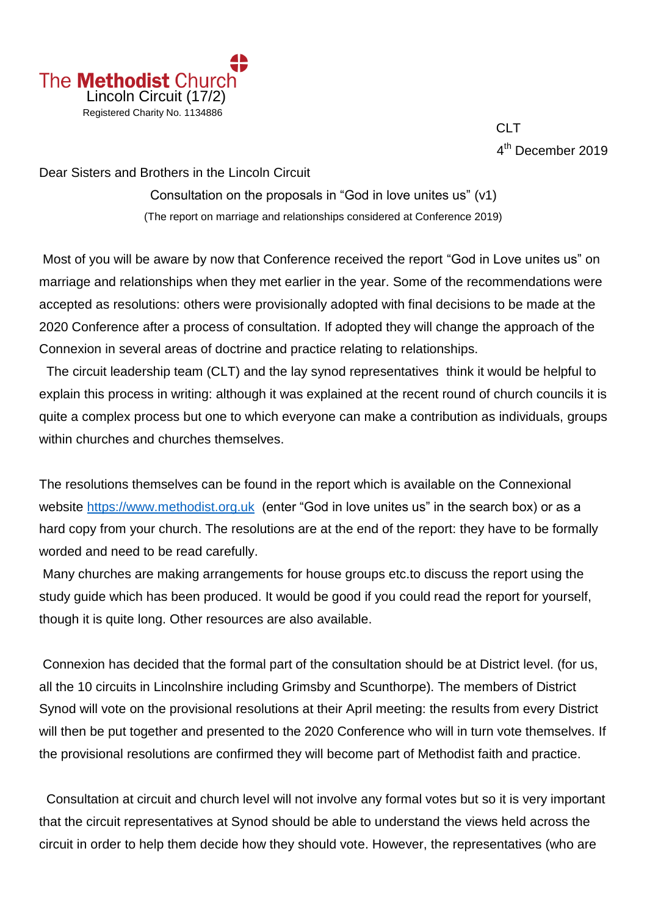

**CLT** 4<sup>th</sup> December 2019

Dear Sisters and Brothers in the Lincoln Circuit

Consultation on the proposals in "God in love unites us" (v1) (The report on marriage and relationships considered at Conference 2019)

Most of you will be aware by now that Conference received the report "God in Love unites us" on marriage and relationships when they met earlier in the year. Some of the recommendations were accepted as resolutions: others were provisionally adopted with final decisions to be made at the 2020 Conference after a process of consultation. If adopted they will change the approach of the Connexion in several areas of doctrine and practice relating to relationships.

 The circuit leadership team (CLT) and the lay synod representatives think it would be helpful to explain this process in writing: although it was explained at the recent round of church councils it is quite a complex process but one to which everyone can make a contribution as individuals, groups within churches and churches themselves.

The resolutions themselves can be found in the report which is available on the Connexional website [https://www.methodist.org.uk](https://www.methodist.org.uk/) (enter "God in love unites us" in the search box) or as a hard copy from your church. The resolutions are at the end of the report: they have to be formally worded and need to be read carefully.

Many churches are making arrangements for house groups etc.to discuss the report using the study guide which has been produced. It would be good if you could read the report for yourself, though it is quite long. Other resources are also available.

Connexion has decided that the formal part of the consultation should be at District level. (for us, all the 10 circuits in Lincolnshire including Grimsby and Scunthorpe). The members of District Synod will vote on the provisional resolutions at their April meeting: the results from every District will then be put together and presented to the 2020 Conference who will in turn vote themselves. If the provisional resolutions are confirmed they will become part of Methodist faith and practice.

 Consultation at circuit and church level will not involve any formal votes but so it is very important that the circuit representatives at Synod should be able to understand the views held across the circuit in order to help them decide how they should vote. However, the representatives (who are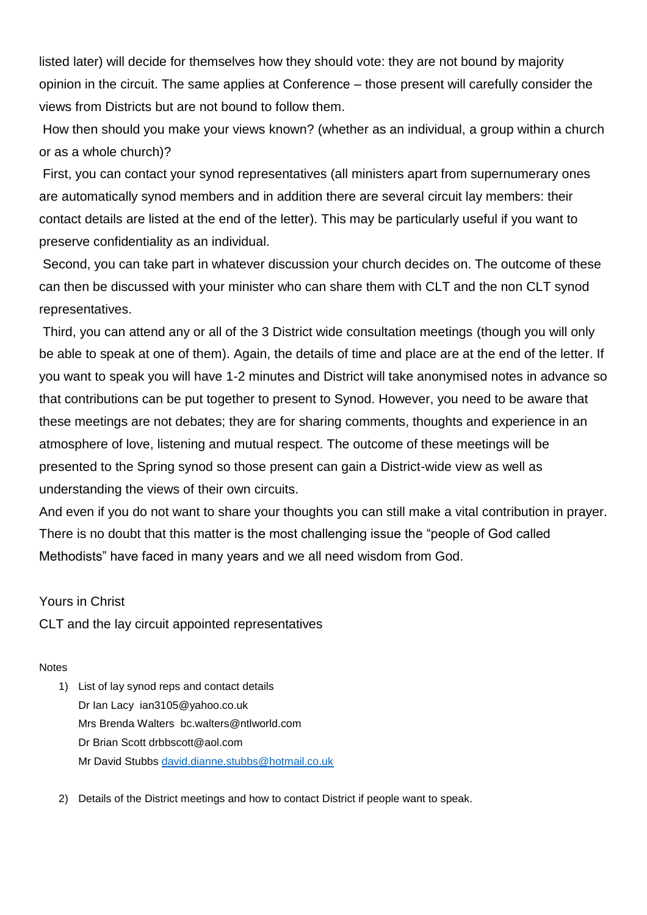listed later) will decide for themselves how they should vote: they are not bound by majority opinion in the circuit. The same applies at Conference – those present will carefully consider the views from Districts but are not bound to follow them.

How then should you make your views known? (whether as an individual, a group within a church or as a whole church)?

First, you can contact your synod representatives (all ministers apart from supernumerary ones are automatically synod members and in addition there are several circuit lay members: their contact details are listed at the end of the letter). This may be particularly useful if you want to preserve confidentiality as an individual.

Second, you can take part in whatever discussion your church decides on. The outcome of these can then be discussed with your minister who can share them with CLT and the non CLT synod representatives.

Third, you can attend any or all of the 3 District wide consultation meetings (though you will only be able to speak at one of them). Again, the details of time and place are at the end of the letter. If you want to speak you will have 1-2 minutes and District will take anonymised notes in advance so that contributions can be put together to present to Synod. However, you need to be aware that these meetings are not debates; they are for sharing comments, thoughts and experience in an atmosphere of love, listening and mutual respect. The outcome of these meetings will be presented to the Spring synod so those present can gain a District-wide view as well as understanding the views of their own circuits.

And even if you do not want to share your thoughts you can still make a vital contribution in prayer. There is no doubt that this matter is the most challenging issue the "people of God called Methodists" have faced in many years and we all need wisdom from God.

## Yours in Christ

CLT and the lay circuit appointed representatives

## **Notes**

1) List of lay synod reps and contact details Dr Ian Lacy [ian3105@yahoo.co.uk](mailto:ian3105@yahoo.co.uk) Mrs Brenda Walters [bc.walters@ntlworld.com](mailto:bc.walters@ntlworld.com) Dr Brian Scott [drbbscott@aol.com](mailto:drbbscott@aol.com) Mr David Stubbs [david.dianne.stubbs@hotmail.co.uk](mailto:david.dianne.stubbs@hotmail.co.uk)

2) Details of the District meetings and how to contact District if people want to speak.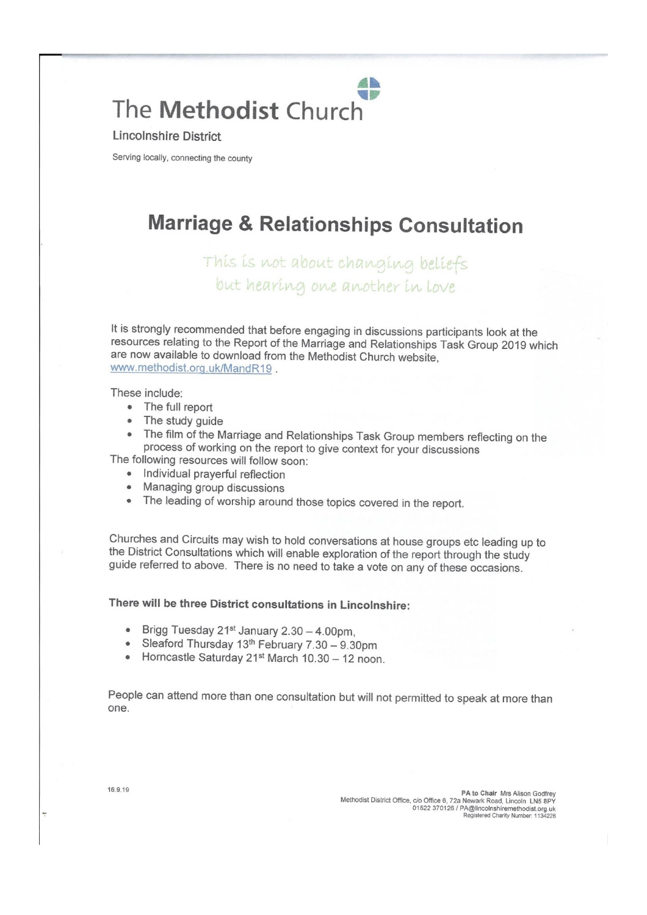The Methodist Church

**Lincolnshire District** 

Serving locally, connecting the county

## **Marriage & Relationships Consultation**

This is not about changing beliefs but hearing one another in love

It is strongly recommended that before engaging in discussions participants look at the resources relating to the Report of the Marriage and Relationships Task Group 2019 which are now available to download from the Methodist Church website, www.methodist.org.uk/MandR19.

These include:

- The full report
- The study guide  $\bullet$
- The film of the Marriage and Relationships Task Group members reflecting on the  $\bullet$ process of working on the report to give context for your discussions

The following resources will follow soon:

- · Individual prayerful reflection
- Managing group discussions
- The leading of worship around those topics covered in the report.

Churches and Circuits may wish to hold conversations at house groups etc leading up to the District Consultations which will enable exploration of the report through the study guide referred to above. There is no need to take a vote on any of these occasions.

There will be three District consultations in Lincolnshire:

- Brigg Tuesday 21<sup>st</sup> January 2.30 4.00pm,  $\bullet$
- Sleaford Thursday 13<sup>th</sup> February 7.30 9.30pm  $\bullet$
- Horncastle Saturday 21<sup>st</sup> March 10.30 12 noon.  $\bullet$

People can attend more than one consultation but will not permitted to speak at more than one.

> PA to Chair Mrs Alison Godfrey Methodist District Office, c/o Office 6, 72a Newark Road, Lincoln<br>1 District Office 6, 72a Newark Road, Lincoln LN5 8PY<br>Registered Charity Number: 1134228<br>Registered Charity Number: 1134228

16.9.19